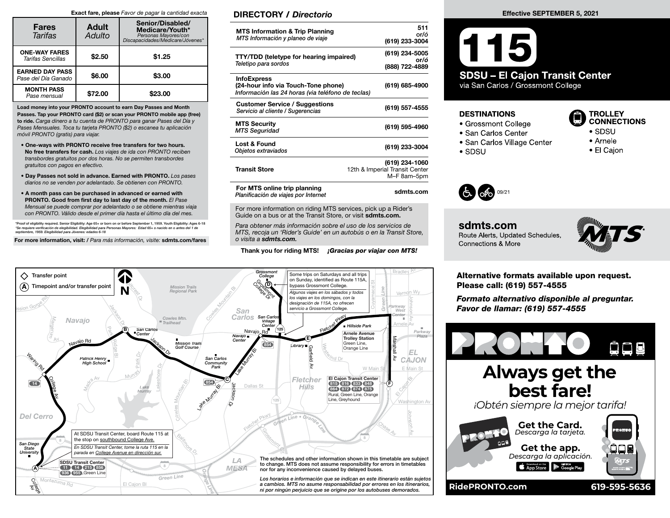#### Exact fare, please Favor de pagar la cantidad exacta

| <b>Fares</b><br>Tarifas                       | <b>Adult</b><br>Adulto | Senior/Disabled/<br>Medicare/Youth*<br>Personas Mayores/con<br>Discapacidades/Medicare/Jóvenes* |
|-----------------------------------------------|------------------------|-------------------------------------------------------------------------------------------------|
| <b>ONE-WAY FARES</b><br>Tarifas Sencillas     | \$2.50                 | \$1.25                                                                                          |
| <b>EARNED DAY PASS</b><br>Pase del Día Ganado | \$6.00                 | \$3.00                                                                                          |
| <b>MONTH PASS</b><br>Pase mensual             | \$72.00                | \$23.00                                                                                         |

Load money into your PRONTO account to earn Day Passes and Month Passes. Tap your PRONTO card (\$2) or scan your PRONTO mobile app (free) to ride. Carga dinero a tu cuenta de PRONTO para ganar Pases del Día y Pases Mensuales. Toca tu tarjeta PRONTO (\$2) o escanea tu aplicación móvil PRONTO (gratis) para viajar.

- One-ways with PRONTO receive free transfers for two hours. No free transfers for cash. Los viajes de ida con PRONTO reciben transbordes gratuitos por dos horas. No se permiten transbordes gratuitos con pagos en efectivo.
- Day Passes not sold in advance. Earned with PRONTO. Los pases diarios no se venden por adelantado. Se obtienen con PRONTO.
- A month pass can be purchased in advanced or earned with PRONTO. Good from first day to last day of the month. El Pase Mensual se puede comprar por adelantado o se obtiene mientras viaja con PRONTO. Válido desde el primer día hasta el último día del mes.

\*Proof of eligibility required. Senior Eligibility: Age 65+ or born on or before September 1, 1959. Youth Eligibility: Ages 6-18<br>\*Se requiere verificación de elegibilidad. Elegibilidad para Personas Mayores: Edad 65+ o nac

For more information, visit: / Para más información, visite: sdmts.com/fares

## DIRECTORY / Directorio

| <b>MTS Information &amp; Trip Planning</b><br>MTS Información y planeo de viaje                                | 511<br>or/ó<br>(619) 233-3004                                   |
|----------------------------------------------------------------------------------------------------------------|-----------------------------------------------------------------|
| TTY/TDD (teletype for hearing impaired)<br>Teletipo para sordos                                                | (619) 234-5005<br>or/ó<br>(888) 722-4889                        |
| <b>InfoExpress</b><br>(24-hour info via Touch-Tone phone)<br>Información las 24 horas (via teléfono de teclas) | (619) 685-4900                                                  |
| <b>Customer Service / Suggestions</b><br>Servicio al cliente / Sugerencias                                     | (619) 557-4555                                                  |
| <b>MTS Security</b><br><b>MTS Seguridad</b>                                                                    | (619) 595-4960                                                  |
| Lost & Found<br>Objetos extraviados                                                                            | (619) 233-3004                                                  |
| <b>Transit Store</b>                                                                                           | (619) 234-1060<br>12th & Imperial Transit Center<br>M-F 8am-5pm |
| For MTS online trip planning<br>Planificación de viajes por Internet                                           | sdmts.com                                                       |

For more information on riding MTS services, pick up a Rider's Guide on a bus or at the Transit Store, or visit sdmts.com.

Para obtener más información sobre el uso de los servicios de MTS, recoja un 'Rider's Guide' en un autobús o en la Transit Store, o visita a sdmts.com.

#### Thank you for riding MTS! **¡Gracias por viajar con MTS!**



### Effective SEPTEMBER 5, 2021

 $(115)$ **SDSU - El Cajon Transit Center** via San Carlos / Grossmont College

## **DESTINATIONS**

- Grossmont College
- San Carlos Center
- San Carlos Village Center
- $\bullet$  SDSU



- $\bullet$  SDSU
- Arnele
- El Cajon



sdmts.com Route Alerts, Updated Schedules, **Connections & More** 



Alternative formats available upon request. Please call: (619) 557-4555

Formato alternativo disponible al preguntar. Favor de llamar: (619) 557-4555